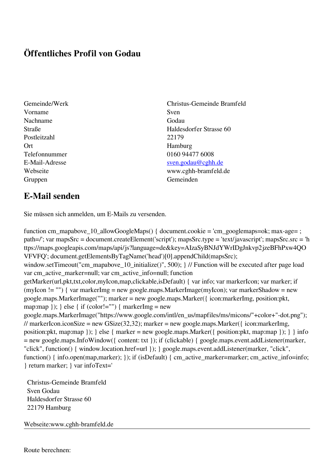## **Öffentliches Profil von Godau**

- Gemeinde/Werk Christus-Gemeinde Bramfeld Vorname Sven Nachname Godau Postleitzahl 22179 Ort Hamburg Gruppen Gemeinden Gemeinden Gemeinden Gemeinden Gemeinden Gemeinden Gemeinden Gemeinden Gemeinden Gemeinden G
- Straße Haldesdorfer Strasse 60 Telefonnummer 0160 94477 6008 E-Mail-Adresse [sven.godau@cghh.de](mailto:sven.godau@cghh.de) Webseite www.cghh-bramfeld.de

## **E-Mail senden**

Sie müssen sich anmelden, um E-Mails zu versenden.

function cm\_mapabove\_10\_allowGoogleMaps() { document.cookie = 'cm\_googlemaps=ok; max-age= ; path=/'; var mapsSrc = document.createElement('script'); mapsSrc.type = 'text/javascript'; mapsSrc.src = 'h ttps://maps.googleapis.com/maps/api/js?language=de&key=AIzaSyBNJdYWrIDgJnkvp2jzeBFhPxw4QO VFVFQ'; document.getElementsByTagName('head')[0].appendChild(mapsSrc); window.setTimeout("cm\_mapabove\_10\_initialize()", 500); } // Function will be executed after page load var cm\_active\_marker=null; var cm\_active\_info=null; function getMarker(url,pkt,txt,color,myIcon,map,clickable,isDefault) { var info; var markerIcon; var marker; if (myIcon != "") { var markerImg = new google.maps.MarkerImage(myIcon); var markerShadow = new google.maps.MarkerImage(""); marker = new google.maps.Marker({ icon:markerImg, position:pkt, map:map  $\}$ ;  $\}$  else  $\{$  if (color!="")  $\{$  markerImg = new google.maps.MarkerImage("https://www.google.com/intl/en\_us/mapfiles/ms/micons/"+color+"-dot.png"); // markerIcon.iconSize = new GSize(32,32); marker = new google.maps.Marker({ $i$ con:markerImg, position:pkt, map:map }); } else { marker = new google.maps.Marker({ position:pkt, map:map }); } } info = new google.maps.InfoWindow({ content: txt }); if (clickable) { google.maps.event.addListener(marker, "click", function() { window.location.href=url }); } google.maps.event.addListener(marker, "click", function() { info.open(map,marker); }); if (isDefault) { cm\_active\_marker=marker; cm\_active\_info=info; } return marker; } var infoText='

 Christus-Gemeinde Bramfeld Sven Godau Haldesdorfer Strasse 60 22179 Hamburg

Webseite:www.cghh-bramfeld.de